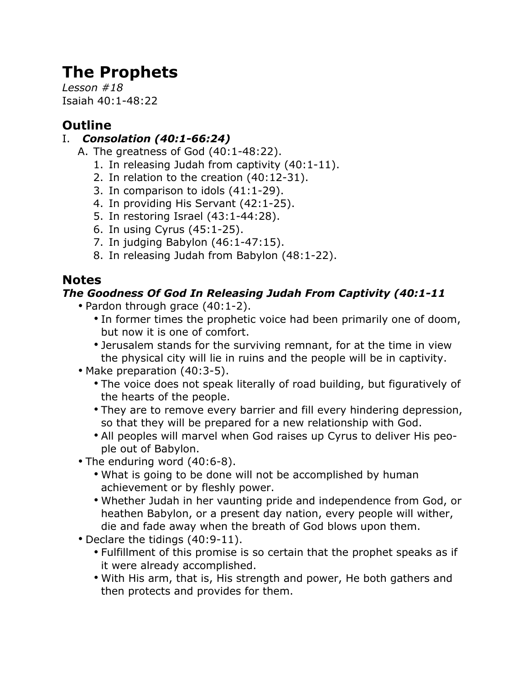# **The Prophets**

*Lesson #18* Isaiah 40:1-48:22

# **Outline**

## I. *Consolation (40:1-66:24)*

- A. The greatness of God (40:1-48:22).
	- 1. In releasing Judah from captivity (40:1-11).
	- 2. In relation to the creation (40:12-31).
	- 3. In comparison to idols (41:1-29).
	- 4. In providing His Servant (42:1-25).
	- 5. In restoring Israel (43:1-44:28).
	- 6. In using Cyrus (45:1-25).
	- 7. In judging Babylon (46:1-47:15).
	- 8. In releasing Judah from Babylon (48:1-22).

## **Notes**

## *The Goodness Of God In Releasing Judah From Captivity (40:1-11*

- Pardon through grace (40:1-2).
	- In former times the prophetic voice had been primarily one of doom, but now it is one of comfort.
	- Jerusalem stands for the surviving remnant, for at the time in view the physical city will lie in ruins and the people will be in captivity.
- Make preparation (40:3-5).
	- The voice does not speak literally of road building, but figuratively of the hearts of the people.
	- They are to remove every barrier and fill every hindering depression, so that they will be prepared for a new relationship with God.
	- All peoples will marvel when God raises up Cyrus to deliver His people out of Babylon.
- The enduring word (40:6-8).
	- What is going to be done will not be accomplished by human achievement or by fleshly power.
	- Whether Judah in her vaunting pride and independence from God, or heathen Babylon, or a present day nation, every people will wither, die and fade away when the breath of God blows upon them.
- Declare the tidings (40:9-11).
	- Fulfillment of this promise is so certain that the prophet speaks as if it were already accomplished.
	- With His arm, that is, His strength and power, He both gathers and then protects and provides for them.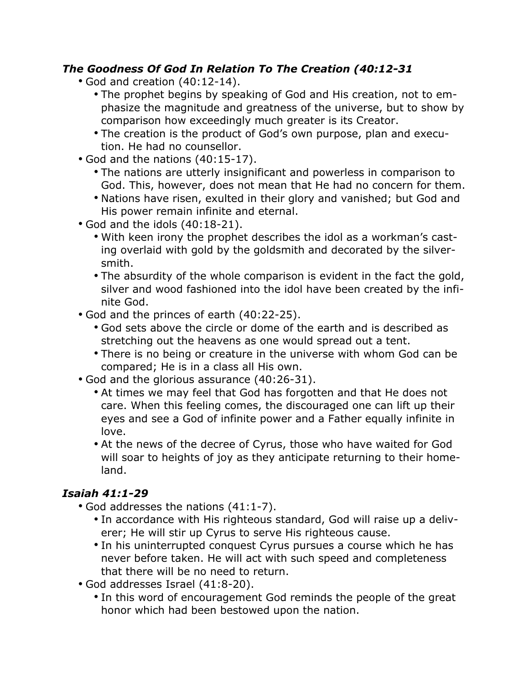#### *The Goodness Of God In Relation To The Creation (40:12-31*

- God and creation (40:12-14).
	- The prophet begins by speaking of God and His creation, not to emphasize the magnitude and greatness of the universe, but to show by comparison how exceedingly much greater is its Creator.
	- The creation is the product of God's own purpose, plan and execution. He had no counsellor.
- God and the nations (40:15-17).
	- The nations are utterly insignificant and powerless in comparison to God. This, however, does not mean that He had no concern for them.
	- Nations have risen, exulted in their glory and vanished; but God and His power remain infinite and eternal.
- God and the idols (40:18-21).
	- With keen irony the prophet describes the idol as a workman's casting overlaid with gold by the goldsmith and decorated by the silversmith.
	- The absurdity of the whole comparison is evident in the fact the gold, silver and wood fashioned into the idol have been created by the infinite God.
- God and the princes of earth (40:22-25).
	- God sets above the circle or dome of the earth and is described as stretching out the heavens as one would spread out a tent.
	- There is no being or creature in the universe with whom God can be compared; He is in a class all His own.
- God and the glorious assurance (40:26-31).
	- At times we may feel that God has forgotten and that He does not care. When this feeling comes, the discouraged one can lift up their eyes and see a God of infinite power and a Father equally infinite in love.
	- At the news of the decree of Cyrus, those who have waited for God will soar to heights of joy as they anticipate returning to their homeland.

#### *Isaiah 41:1-29*

- God addresses the nations (41:1-7).
	- In accordance with His righteous standard, God will raise up a deliverer; He will stir up Cyrus to serve His righteous cause.
	- In his uninterrupted conquest Cyrus pursues a course which he has never before taken. He will act with such speed and completeness that there will be no need to return.
- God addresses Israel (41:8-20).
	- In this word of encouragement God reminds the people of the great honor which had been bestowed upon the nation.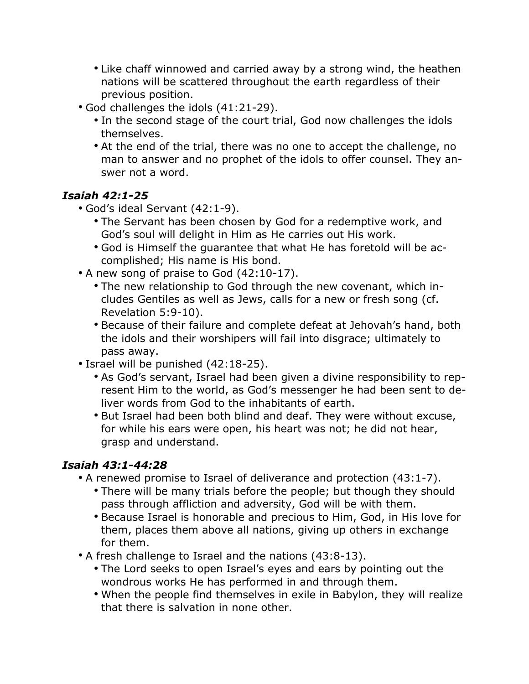- Like chaff winnowed and carried away by a strong wind, the heathen nations will be scattered throughout the earth regardless of their previous position.
- God challenges the idols (41:21-29).
	- In the second stage of the court trial, God now challenges the idols themselves.
	- At the end of the trial, there was no one to accept the challenge, no man to answer and no prophet of the idols to offer counsel. They answer not a word.

#### *Isaiah 42:1-25*

- God's ideal Servant (42:1-9).
	- The Servant has been chosen by God for a redemptive work, and God's soul will delight in Him as He carries out His work.
	- God is Himself the guarantee that what He has foretold will be accomplished; His name is His bond.
- A new song of praise to God (42:10-17).
	- The new relationship to God through the new covenant, which includes Gentiles as well as Jews, calls for a new or fresh song (cf. Revelation 5:9-10).
	- Because of their failure and complete defeat at Jehovah's hand, both the idols and their worshipers will fail into disgrace; ultimately to pass away.
- Israel will be punished (42:18-25).
	- As God's servant, Israel had been given a divine responsibility to represent Him to the world, as God's messenger he had been sent to deliver words from God to the inhabitants of earth.
	- But Israel had been both blind and deaf. They were without excuse, for while his ears were open, his heart was not; he did not hear, grasp and understand.

#### *Isaiah 43:1-44:28*

- A renewed promise to Israel of deliverance and protection (43:1-7).
	- There will be many trials before the people; but though they should pass through affliction and adversity, God will be with them.
	- Because Israel is honorable and precious to Him, God, in His love for them, places them above all nations, giving up others in exchange for them.
- A fresh challenge to Israel and the nations (43:8-13).
	- The Lord seeks to open Israel's eyes and ears by pointing out the wondrous works He has performed in and through them.
	- When the people find themselves in exile in Babylon, they will realize that there is salvation in none other.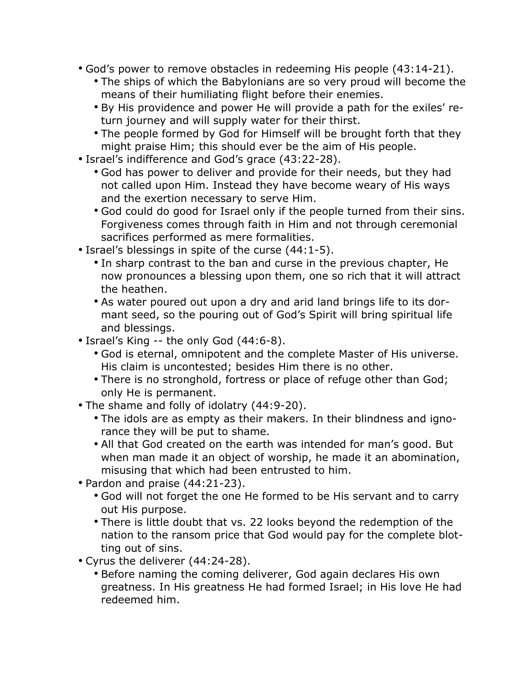- God's power to remove obstacles in redeeming His people (43:14-21).
	- The ships of which the Babylonians are so very proud will become the means of their humiliating flight before their enemies.
	- By His providence and power He will provide a path for the exiles' return journey and will supply water for their thirst.
	- The people formed by God for Himself will be brought forth that they might praise Him; this should ever be the aim of His people.
- Israel's indifference and God's grace (43:22-28).
	- God has power to deliver and provide for their needs, but they had not called upon Him. Instead they have become weary of His ways and the exertion necessary to serve Him.
	- God could do good for Israel only if the people turned from their sins. Forgiveness comes through faith in Him and not through ceremonial sacrifices performed as mere formalities.
- Israel's blessings in spite of the curse (44:1-5).
	- In sharp contrast to the ban and curse in the previous chapter, He now pronounces a blessing upon them, one so rich that it will attract the heathen.
	- As water poured out upon a dry and arid land brings life to its dormant seed, so the pouring out of God's Spirit will bring spiritual life and blessings.
- Israel's King -- the only God (44:6-8).
	- God is eternal, omnipotent and the complete Master of His universe. His claim is uncontested; besides Him there is no other.
	- There is no stronghold, fortress or place of refuge other than God; only He is permanent.
- The shame and folly of idolatry (44:9-20).
	- The idols are as empty as their makers. In their blindness and ignorance they will be put to shame.
	- All that God created on the earth was intended for man's good. But when man made it an object of worship, he made it an abomination, misusing that which had been entrusted to him.
- Pardon and praise (44:21-23).
	- God will not forget the one He formed to be His servant and to carry out His purpose.
	- There is little doubt that vs. 22 looks beyond the redemption of the nation to the ransom price that God would pay for the complete blotting out of sins.
- Cyrus the deliverer (44:24-28).
	- Before naming the coming deliverer, God again declares His own greatness. In His greatness He had formed Israel; in His love He had redeemed him.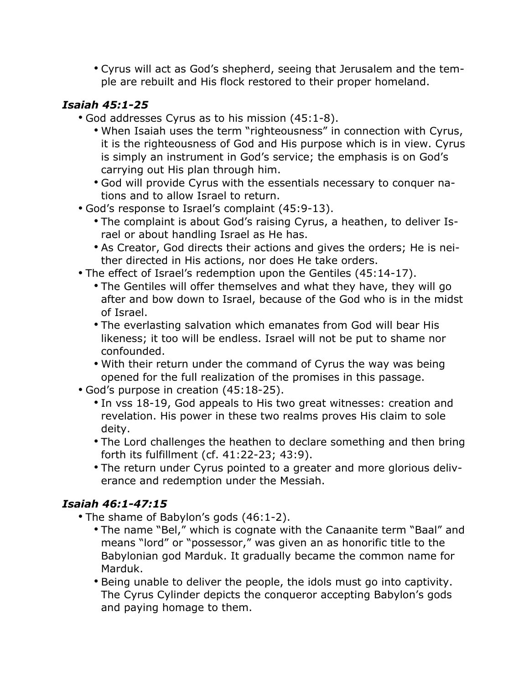• Cyrus will act as God's shepherd, seeing that Jerusalem and the temple are rebuilt and His flock restored to their proper homeland.

#### *Isaiah 45:1-25*

- God addresses Cyrus as to his mission (45:1-8).
	- When Isaiah uses the term "righteousness" in connection with Cyrus, it is the righteousness of God and His purpose which is in view. Cyrus is simply an instrument in God's service; the emphasis is on God's carrying out His plan through him.
	- God will provide Cyrus with the essentials necessary to conquer nations and to allow Israel to return.
- God's response to Israel's complaint (45:9-13).
	- The complaint is about God's raising Cyrus, a heathen, to deliver Israel or about handling Israel as He has.
	- As Creator, God directs their actions and gives the orders; He is neither directed in His actions, nor does He take orders.
- The effect of Israel's redemption upon the Gentiles (45:14-17).
	- The Gentiles will offer themselves and what they have, they will go after and bow down to Israel, because of the God who is in the midst of Israel.
	- The everlasting salvation which emanates from God will bear His likeness; it too will be endless. Israel will not be put to shame nor confounded.
	- With their return under the command of Cyrus the way was being opened for the full realization of the promises in this passage.
- God's purpose in creation (45:18-25).
	- In vss 18-19, God appeals to His two great witnesses: creation and revelation. His power in these two realms proves His claim to sole deity.
	- The Lord challenges the heathen to declare something and then bring forth its fulfillment (cf. 41:22-23; 43:9).
	- The return under Cyrus pointed to a greater and more glorious deliverance and redemption under the Messiah.

#### *Isaiah 46:1-47:15*

- The shame of Babylon's gods (46:1-2).
	- The name "Bel," which is cognate with the Canaanite term "Baal" and means "lord" or "possessor," was given an as honorific title to the Babylonian god Marduk. It gradually became the common name for Marduk.
	- Being unable to deliver the people, the idols must go into captivity. The Cyrus Cylinder depicts the conqueror accepting Babylon's gods and paying homage to them.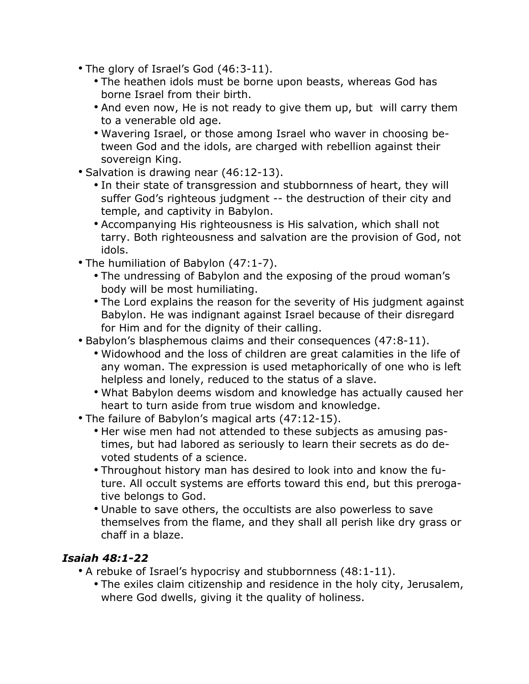- The glory of Israel's God (46:3-11).
	- The heathen idols must be borne upon beasts, whereas God has borne Israel from their birth.
	- And even now, He is not ready to give them up, but will carry them to a venerable old age.
	- Wavering Israel, or those among Israel who waver in choosing between God and the idols, are charged with rebellion against their sovereign King.
- Salvation is drawing near (46:12-13).
	- In their state of transgression and stubbornness of heart, they will suffer God's righteous judgment -- the destruction of their city and temple, and captivity in Babylon.
	- Accompanying His righteousness is His salvation, which shall not tarry. Both righteousness and salvation are the provision of God, not idols.
- The humiliation of Babylon (47:1-7).
	- The undressing of Babylon and the exposing of the proud woman's body will be most humiliating.
	- The Lord explains the reason for the severity of His judgment against Babylon. He was indignant against Israel because of their disregard for Him and for the dignity of their calling.
- Babylon's blasphemous claims and their consequences (47:8-11).
	- Widowhood and the loss of children are great calamities in the life of any woman. The expression is used metaphorically of one who is left helpless and lonely, reduced to the status of a slave.
	- What Babylon deems wisdom and knowledge has actually caused her heart to turn aside from true wisdom and knowledge.
- The failure of Babylon's magical arts (47:12-15).
	- Her wise men had not attended to these subjects as amusing pastimes, but had labored as seriously to learn their secrets as do devoted students of a science.
	- Throughout history man has desired to look into and know the future. All occult systems are efforts toward this end, but this prerogative belongs to God.
	- Unable to save others, the occultists are also powerless to save themselves from the flame, and they shall all perish like dry grass or chaff in a blaze.

#### *Isaiah 48:1-22*

- A rebuke of Israel's hypocrisy and stubbornness (48:1-11).
	- The exiles claim citizenship and residence in the holy city, Jerusalem, where God dwells, giving it the quality of holiness.